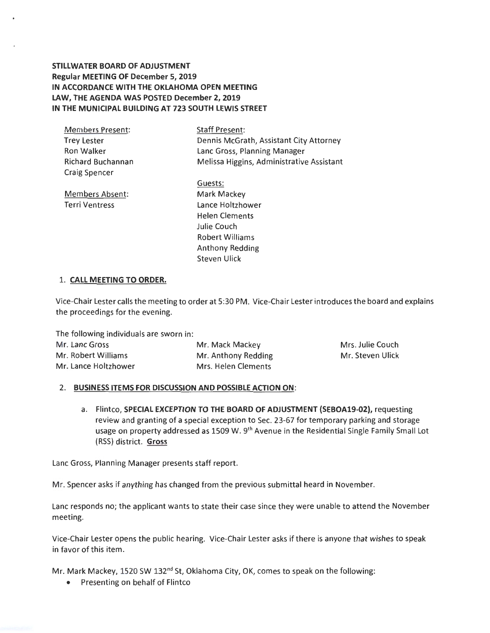**STILLWATER BOARD OF ADJUSTMENT Regular MEETING OF December 5, 2019 IN ACCORDANCE WITH THE OKLAHOMA OPEN MEETING LAW, THE AGENDA WAS POSTED December 2, 2019 IN THE MUNICIPAL BUILDING AT 723 SOUTH LEWIS STREET** 

Members Present: Trey Lester Richard Buchannan Craig Spencer

Staff Present: Dennis McGrath, Assistant City Attorney Ron Walker **Lanc Gross, Planning Manager** Melissa Higgins, Administrative Assistant

Members Absent: Terri Ventress

Guests: Mark Mackey Lance Holtzhower Helen Clements Julie Couch Robert Williams Anthony Redding Steven Ulick

## 1. **CALL MEETING TO ORDER.**

Vice-Chair Lester calls the meeting to order at 5:30 PM . Vice-Chair Lester introduces the board and explains the proceedings for the evening.

The following individuals are sworn in: Mr. Lanc Gross Mr. Mack Mackey Mr. Robert Williams Mr. Anthony Redding Mr. Lance Holtzhower Mrs. Helen Clements Mrs. Julie Couch Mr. Steven Ulick

## 2. **BUSINESS ITEMS FOR DISCUSSION AND POSSIBLE ACTION ON :**

a. Flintco, **SPECIAL EXCEPTION TO THE BOARD OF ADJUSTMENT (SEBOA19-02),** requesting review and granting of a special exception to Sec. 23-67 for temporary parking and storage usage on property addressed as 1509 W. 9<sup>th</sup> Avenue in the Residential Single Family Small Lot (RSS) district. **Gross** 

Lane Gross, Planning Manager presents staff report.

Mr. Spencer asks if anything has changed from the previous submittal heard in November.

Lane responds no; the applicant wants to state their case since they were unable to attend the November meeting.

Vice-Chair Lester opens the public hearing. Vice-Chair Lester asks if there is anyone that wishes to speak in favor of this item .

Mr. Mark Mackey, 1520 SW 132<sup>nd</sup> St, Oklahoma City, OK, comes to speak on the following:

• Presenting on behalf of Flintco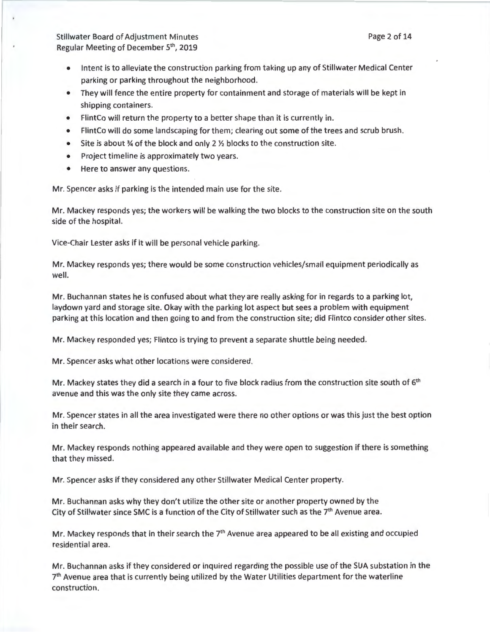- Intent is to alleviate the construction parking from taking up any of Stillwater Medical Center parking or parking throughout the neighborhood.
- They will fence the entire property for containment and storage of materials will be kept in shipping containers.
- FlintCo will return the property to a better shape than it is currently in.
- FlintCo will do some landscaping for them; clearing out some of the trees and scrub brush.
- Site is about  $%$  of the block and only 2  $%$  blocks to the construction site.
- Project timeline is approximately two years.
- Here to answer any questions.

Mr. Spencer asks if parking is the intended main use for the site.

Mr. Mackey responds yes; the workers will be walking the two blocks to the construction site on the south side of the hospital.

Vice-Chair Lester asks if it will be personal vehicle parking.

Mr. Mackey responds yes; there would be some construction vehicles/small equipment periodically as well.

Mr. Buchannan states he is confused about what they are really asking for in regards to a parking lot, laydown yard and storage site. Okay with the parking lot aspect but sees a problem with equipment parking at this location and then going to and from the construction site; did Flintco consider other sites.

Mr. Mackey responded yes; Flintco is trying to prevent a separate shuttle being needed.

Mr. Spencer asks what other locations were considered.

Mr. Mackey states they did a search in a four to five block radius from the construction site south of 6<sup>th</sup> avenue and this was the only site they came across.

Mr. Spencer states in all the area investigated were there no other options or was this just the best option in their search.

Mr. Mackey responds nothing appeared available and they were open to suggestion if there is something that they missed.

Mr. Spencer asks if they considered any other Stillwater Medical Center property.

Mr. Buchannan asks why they don't utilize the other site or another property owned by the City of Stillwater since SMC is a function of the City of Stillwater such as the 7<sup>th</sup> Avenue area.

Mr. Mackey responds that in their search the  $7<sup>th</sup>$  Avenue area appeared to be all existing and occupied residential area.

Mr. Buchannan asks if they considered or inquired regarding the possible use of the SUA substation in the  $7<sup>th</sup>$  Avenue area that is currently being utilized by the Water Utilities department for the waterline construction.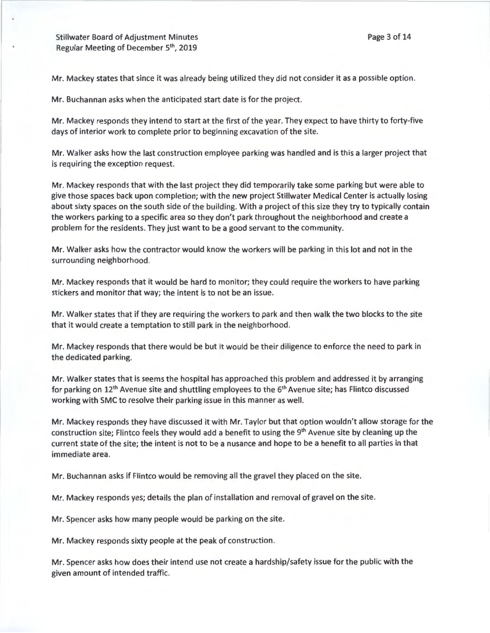Mr. Mackey states that since it was already being utilized they did not consider it as a possible option.

Mr. Buchannan asks when the anticipated start date is for the project.

Mr. Mackey responds they intend to start at the first of the year. They expect to have thirty to forty-five days of interior work to complete prior to beginning excavation of the site.

Mr. Walker asks how the last construction employee parking was handled and is this a larger project that is requiring the exception request.

Mr. Mackey responds that with the last project they did temporarily take some parking but were able to give those spaces back upon completion; with the new project Stillwater Medical Center is actually losing about sixty spaces on the south side of the building. With a project of this size they try to typically contain the workers parking to a specific area so they don't park throughout the neighborhood and create a problem for the residents. They just want to be a good servant to the community.

Mr. Walker asks how the contractor would know the workers will be parking in this lot and not in the surrounding neighborhood.

Mr. Mackey responds that it would be hard to monitor; they could require the workers to have parking stickers and monitor that way; the intent is to not be an issue.

Mr. Walker states that if they are requiring the workers to park and then walk the two blocks to the site that it would create a temptation to still park in the neighborhood.

Mr. Mackey responds that there would be but it would be their diligence to enforce the need to park in the dedicated parking.

Mr. Walker states that is seems the hospital has approached this problem and addressed it by arranging for parking on  $12^{th}$  Avenue site and shuttling employees to the  $6^{th}$  Avenue site; has Flintco discussed working with SMC to resolve their parking issue in this manner as well.

Mr. Mackey responds they have discussed it with Mr. Taylor but that option wouldn't allow storage for the construction site; Flintco feels they would add a benefit to using the 9<sup>th</sup> Avenue site by cleaning up the current state of the site; the intent is not to be a nusance and hope to be a benefit to all parties in that immediate area.

Mr. Buchannan asks if Flintco would be removing all the gravel they placed on the site.

Mr. Mackey responds yes; details the plan of installation and removal of gravel on the site.

Mr. Spencer asks how many people would be parking on the site.

Mr. Mackey responds sixty people at the peak of construction.

Mr. Spencer asks how does their intend use not create a hardship/safety issue for the public with the given amount of intended traffic.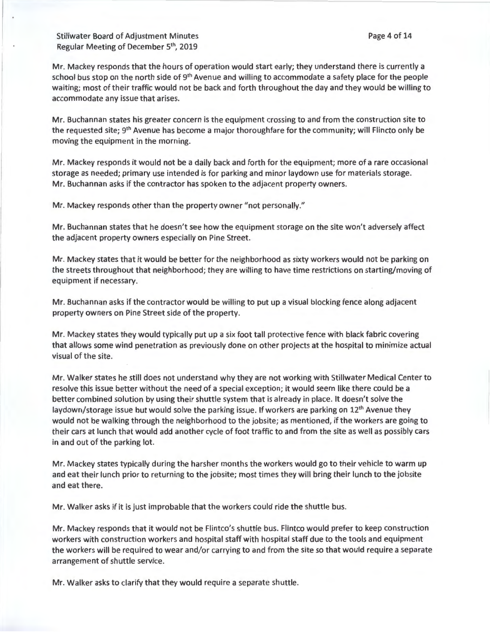Mr. Mackey responds that the hours of operation would start early; they understand there is currently a school bus stop on the north side of  $9<sup>th</sup>$  Avenue and willing to accommodate a safety place for the people waiting; most of their traffic would not be back and forth throughout the day and they would be willing to accommodate any issue that arises.

Mr. Buchannan states his greater concern is the equipment crossing to and from the construction site to the requested site; 9<sup>th</sup> Avenue has become a major thoroughfare for the community; will Flincto only be moving the equipment in the morning.

Mr. Mackey responds it would not be a daily back and forth for the equipment; more of a rare occasional storage as needed; primary use intended is for parking and minor laydown use for materials storage. Mr. Buchannan asks if the contractor has spoken to the adjacent property owners.

Mr. Mackey responds other than the property owner "not personally."

Mr. Buchannan states that he doesn't see how the equipment storage on the site won't adversely affect the adjacent property owners especially on Pine Street.

Mr. Mackey states that it would be better for the neighborhood as sixty workers would not be parking on the streets throughout that neighborhood; they are willing to have time restrictions on starting/moving of equipment if necessary.

Mr. Buchannan asks if the contractor would be willing to put up a visual blocking fence along adjacent property owners on Pine Street side of the property.

Mr. Mackey states they would typically put up a six foot tall protective fence with black fabric covering that allows some wind penetration as previously done on other projects at the hospital to minimize actual visual of the site.

Mr. Walker states he still does not understand why they are not working with Stillwater Medical Center to resolve this issue better without the need of a special exception; it would seem like there could be a better combined solution by using their shuttle system that is already in place. It doesn't solve the laydown/storage issue but would solve the parking issue. If workers are parking on 12<sup>th</sup> Avenue they would not be walking through the neighborhood to the jobsite; as mentioned, if the workers are going to their cars at lunch that would add another cycle of foot traffic to and from the site as well as possibly cars in and out of the parking lot.

Mr. Mackey states typically during the harsher months the workers would go to their vehicle to warm up and eat their lunch prior to returning to the jobsite; most times they will bring their lunch to the jobsite and eat there.

Mr. Walker asks if it is just improbable that the workers could ride the shuttle bus.

Mr. Mackey responds that it would not be Flintco's shuttle bus. Flintco would prefer to keep construction workers with construction workers and hospital staff with hospital staff due to the tools and equipment the workers will be required to wear and/or carrying to and from the site so that would require a separate arrangement of shuttle service.

Mr. Walker asks to clarify that they would require a separate shuttle.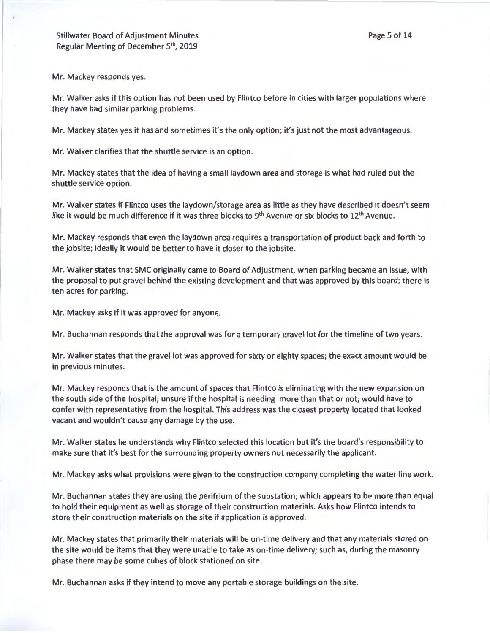Page 5 of 14

Mr. Mackey responds yes.

Mr. Walker asks if this option has not been used by Flintco before in cities with larger populations where they have had similar parking problems.

Mr. Mackey states yes it has and sometimes it's the only option; it's just not the most advantageous.

Mr. Walker clarifies that the shuttle service is an option.

Mr. Mackey states that the idea of having a small laydown area and storage is what had ruled out the shuttle service option.

Mr. Walker states if Flintco uses the laydown/storage area as little as they have described it doesn't seem like it would be much difference if it was three blocks to  $9<sup>th</sup>$  Avenue or six blocks to  $12<sup>th</sup>$  Avenue.

Mr. Mackey responds that even the laydown area requires a transportation of product back and forth to the jobsite; ideally it would be better to have it closer to the jobsite.

Mr. Walker states that SMC originally came to Board of Adjustment, when parking became an issue, with the proposal to put gravel behind the existing development and that was approved by this board; there is ten acres for parking.

Mr. Mackey asks if it was approved for anyone.

Mr. Buchannan responds that the approval was for a temporary gravel lot for the timeline of two years.

Mr. Walker states that the gravel lot was approved for sixty or eighty spaces; the exact amount would be in previous minutes.

Mr. Mackey responds that is the amount of spaces that Flintco is eliminating with the new expansion on the south side of the hospital; unsure if the hospital is needing more than that or not; would have to confer with representative from the hospital. This address was the closest property located that looked vacant and wouldn't cause any damage by the use.

Mr. Walker states he understands why Flintco selected this location but it's the board's responsibility to make sure that it's best for the surrounding property owners not necessarily the applicant.

Mr. Mackey asks what provisions were given to the construction company completing the water line work.

Mr. Buchannan states they are using the perifrium of the substation; which appears to be more than equal to hold their equipment as well as storage of their construction materials. Asks how Flintco intends to store their construction materials on the site if application is approved.

Mr. Mackey states that primarily their materials will be on-time delivery and that any materials stored on the site would be items that they were unable to take as on-time delivery; such as, during the masonry phase there may be some cubes of block stationed on site.

Mr. Buchannan asks if they intend to move any portable storage buildings on the site.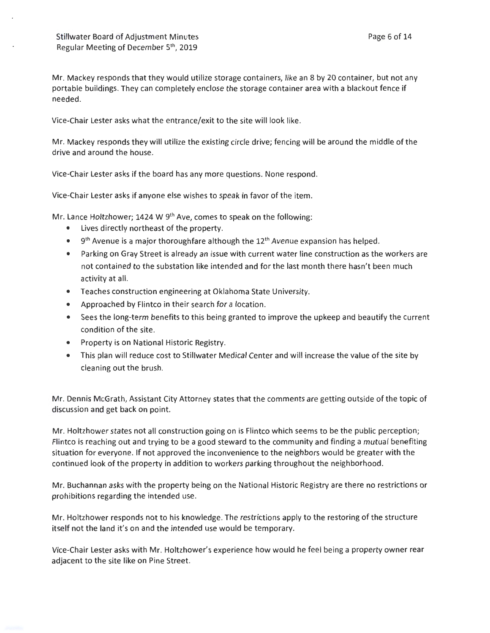Mr. Mackey responds that they would utilize storage containers, like an 8 by 20 container, but not any portable buildings. They can completely enclose the storage container area with a blackout fence if needed.

Vice-Chair Lester asks what the entrance/exit to the site will look like.

Mr. Mackey responds they will utilize the existing circle drive; fencing will be around the middle of the drive and around the house.

Vice-Chair Lester asks if the board has any more questions. None respond.

Vice-Chair Lester asks if anyone else wishes to speak in favor of the item.

Mr. Lance Holtzhower; 1424 W 9<sup>th</sup> Ave, comes to speak on the following:

- Lives directly northeast of the property.
- $\bullet$   $9<sup>th</sup>$  Avenue is a major thoroughfare although the 12<sup>th</sup> Avenue expansion has helped.
- Parking on Gray Street is already an issue with current water line construction as the workers are not contained to the substation like intended and for the last month there hasn't been much activity at all.
- Teaches construction engineering at Oklahoma State University.
- Approached by Flintco in their search for a location.
- Sees the long-term benefits to this being granted to improve the upkeep and beautify the current condition of the site.
- Property is on National Historic Registry.
- This plan will reduce cost to Stillwater Medical Center and will increase the value of the site by cleaning out the brush.

Mr. Dennis McGrath, Assistant City Attorney states that the comments are getting outside of the topic of discussion and get back on point.

Mr. Holtzhower states not all construction going on is Flintco which seems to be the public perception; Flintco is reaching out and trying to be a good steward to the community and finding a mutual benefiting situation for everyone. If not approved the inconvenience to the neighbors would be greater with the continued look of the property in addition to workers parking throughout the neighborhood.

Mr. Buchannan asks with the property being on the National Historic Registry are there no restrictions or prohibitions regarding the intended use.

Mr. Holtzhower responds not to his knowledge. The restrictions apply to the restoring of the structure itself not the land it's on and the intended use would be temporary.

Vice-Chair Lester asks with Mr. Holtzhower's experience how would he feel being a property owner rear adjacent to the site like on Pine Street.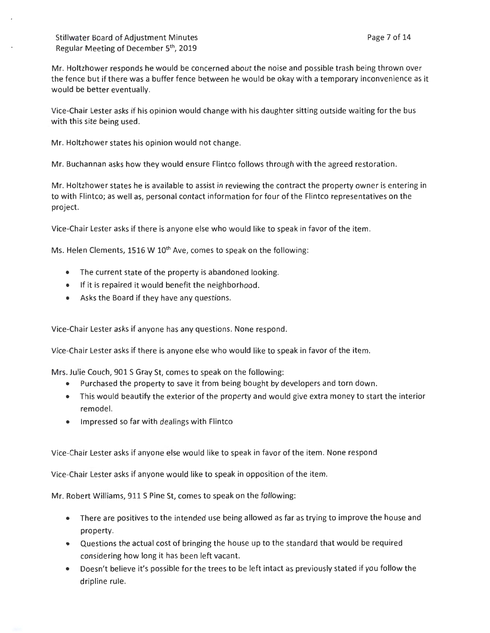Mr. Holtzhower responds he would be concerned about the noise and possible trash being thrown over the fence but if there was a buffer fence between he would be okay with a temporary inconvenience as it would be better eventually.

Vice-Chair Lester asks if his opinion would change with his daughter sitting outside waiting for the bus with this site being used.

Mr. Holtzhower states his opinion would not change.

Mr. Buchannan asks how they would ensure Flintco follows through with the agreed restoration.

Mr. Holtzhower states he is available to assist in reviewing the contract the property owner is entering in to with Flintco; as well as, personal contact information for four of the Flintco representatives on the project.

Vice-Chair Lester asks if there is anyone else who would like to speak in favor of the item .

Ms. Helen Clements, 1516 W 10<sup>th</sup> Ave, comes to speak on the following:

- The current state of the property is abandoned looking.
- If it is repaired it would benefit the neighborhood.
- Asks the Board if they have any questions.

Vice-Chair Lester asks if anyone has any questions. None respond .

Vice-Chair Lester asks if there is anyone else who would like to speak in favor of the item.

Mrs. Julie Couch, 901 S Gray St, comes to speak on the following:

- Purchased the property to save it from being bought by developers and torn down.
- This would beautify the exterior of the property and would give extra money to start the interior remodel.
- Impressed so far with dealings with Flintco

Vice-Chair Lester asks if anyone else would like to speak in favor of the item. None respond

Vice-Chair Lester asks if anyone would like to speak in opposition of the item.

Mr. Robert Williams, 911 S Pine St, comes to speak on the following:

- There are positives to the intended use being allowed as far as trying to improve the house and property.
- Questions the actual cost of bringing the house up to the standard that would be required considering how long it has been left vacant.
- Doesn't believe it's possible for the trees to be left intact as previously stated if you follow the dripline rule.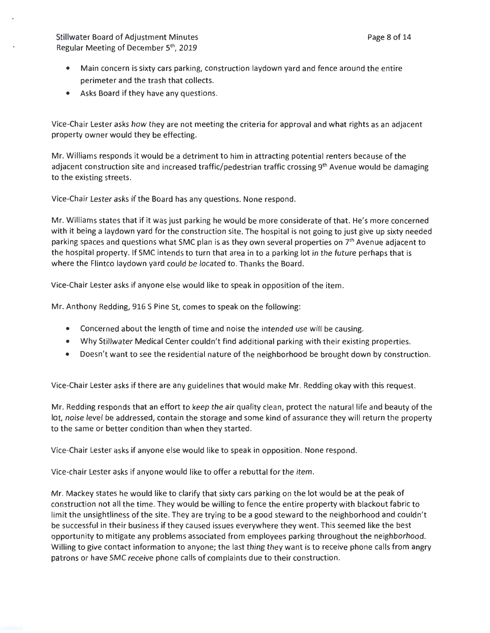- Main concern is sixty cars parking, construction laydown yard and fence around the entire perimeter and the trash that collects.
- Asks Board if they have any questions.

Vice-Chair Lester asks how they are not meeting the criteria for approval and what rights as an adjacent property owner would they be effecting.

Mr. Williams responds it would be a detriment to him in attracting potential renters because of the adjacent construction site and increased traffic/pedestrian traffic crossing 9<sup>th</sup> Avenue would be damaging to the existing streets.

Vice-Chair Lester asks if the Board has any questions. None respond.

Mr. Williams states that if it was just parking he would be more considerate of that. He's more concerned with it being a laydown yard for the construction site. The hospital is not going to just give up sixty needed parking spaces and questions what SMC plan is as they own several properties on 7<sup>th</sup> Avenue adjacent to the hospital property. If SMC intends to turn that area in to a parking lot in the future perhaps that is where the Flintco laydown yard could be located to. Thanks the Board.

Vice-Chair Lester asks if anyone else would like to speak in opposition of the item.

Mr. Anthony Redding, 916 S Pine St, comes to speak on the following:

- Concerned about the length of time and noise the intended use will be causing.
- Why Stillwater Medical Center couldn't find additional parking with their existing properties.
- Doesn't want to see the residential nature of the neighborhood be brought down by construction.

Vice-Chair Lester asks if there are any guidelines that would make Mr. Redding okay with this request.

Mr. Redding responds that an effort to keep the air quality clean, protect the natural life and beauty of the lot, noise level be addressed, contain the storage and some kind of assurance they will return the property to the same or better condition than when they started.

Vice-Chair Lester asks if anyone else would like to speak in opposition. None respond.

Vice-chair Lester asks if anyone would like to offer a rebuttal for the item.

Mr. Mackey states he would like to clarify that sixty cars parking on the lot would be at the peak of construction not all the time. They would be willing to fence the entire property with blackout fabric to limit the unsightliness of the site. They are trying to be a good steward to the neighborhood and couldn't be successful in their business if they caused issues everywhere they went. This seemed like the best opportunity to mitigate any problems associated from employees parking throughout the neighborhood. Willing to give contact information to anyone; the last thing they want is to receive phone calls from angry patrons or have SMC receive phone calls of complaints due to their construction.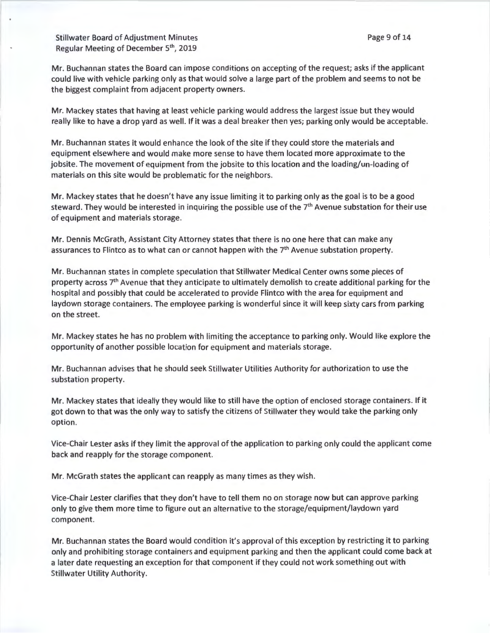Mr. Buchannan states the Board can impose conditions on accepting of the request; asks if the applicant could live with vehicle parking only as that would solve a large part of the problem and seems to not be the biggest complaint from adjacent property owners.

Mr. Mackey states that having at least vehicle parking would address the largest issue but they would really like to have a drop yard as well. If it was a deal breaker then yes; parking only would be acceptable.

Mr. Buchannan states it would enhance the look of the site if they could store the materials and equipment elsewhere and would make more sense to have them located more approximate to the jobsite. The movement of equipment from the jobsite to this location and the loading/un-loading of materials on this site would be problematic for the neighbors.

Mr. Mackey states that he doesn't have any issue limiting it to parking only as the goal is to be a good steward. They would be interested in inquiring the possible use of the 7<sup>th</sup> Avenue substation for their use of equipment and materials storage.

Mr. Dennis McGrath, Assistant City Attorney states that there is no one here that can make any assurances to Flintco as to what can or cannot happen with the 7<sup>th</sup> Avenue substation property.

Mr. Buchannan states in complete speculation that Stillwater Medical Center owns some pieces of property across  $7<sup>th</sup>$  Avenue that they anticipate to ultimately demolish to create additional parking for the hospital and possibly that could be accelerated to provide Flintco with the area for equipment and laydown storage containers. The employee parking is wonderful since it will keep sixty cars from parking on the street.

Mr. Mackey states he has no problem with limiting the acceptance to parking only. Would like explore the opportunity of another possible location for equipment and materials storage.

Mr. Buchannan advises that he should seek Stillwater Utilities Authority for authorization to use the substation property.

Mr. Mackey states that ideally they would like to still have the option of enclosed storage containers. If it got down to that was the only way to satisfy the citizens of Stillwater they would take the parking only option.

Vice-Chair Lester asks if they limit the approval of the application to parking only could the applicant come back and reapply for the storage component.

Mr. McGrath states the applicant can reapply as many times as they wish.

Vice-Chair Lester clarifies that they don't have to tell them no on storage now but can approve parking only to give them more time to figure out an alternative to the storage/equipment/laydown yard component.

Mr. Buchannan states the Board would condition it's approval of this exception by restricting it to parking only and prohibiting storage containers and equipment parking and then the applicant could come back at a later date requesting an exception for that component if they could not work something out with Stillwater Utility Authority.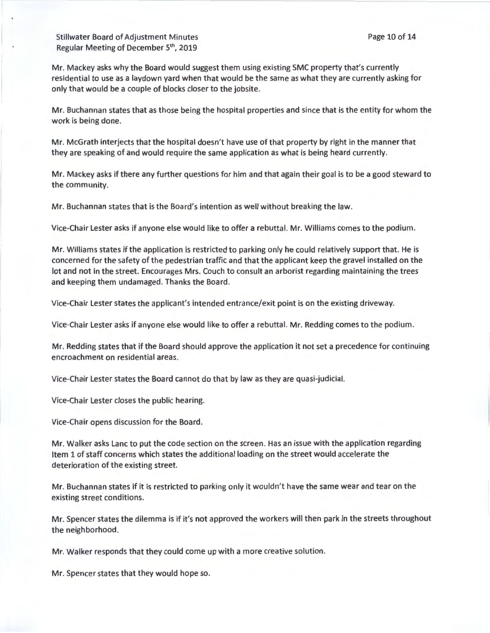Mr. Mackey asks why the Board would suggest them using existing SMC property that's currently residential to use as a laydown yard when that would be the same as what they are currently asking for only that would be a couple of blocks closer to the jobsite.

Mr. Buchannan states that as those being the hospital properties and since that is the entity for whom the work is being done.

Mr. McGrath interjects that the hospital doesn't have use of that property by right in the manner that they are speaking of and would require the same application as what is being heard currently.

Mr. Mackey asks if there any further questions for him and that again their goal is to be a good steward to the community.

Mr. Buchannan states that is the Board's intention as well without breaking the law.

Vice-Chair Lester asks if anyone else would like to offer a rebuttal. Mr. Williams comes to the podium.

Mr. Williams states if the application is restricted to parking only he could relatively support that. He is concerned for the safety of the pedestrian traffic and that the applicant keep the gravel installed on the lot and not in the street. Encourages Mrs. Couch to consult an arborist regarding maintaining the trees and keeping them undamaged. Thanks the Board.

Vice-Chair Lester states the applicant's intended entrance/exit point is on the existing driveway.

Vice-Chair Lester asks if anyone else would like to offer a rebuttal. Mr. Redding comes to the podium.

Mr. Redding states that if the Board should approve the application it not set a precedence for continuing encroachment on residential areas.

Vice-Chair Lester states the Board cannot do that by law as they are quasi-judicial.

Vice-Chair Lester closes the public hearing.

Vice-Chair opens discussion for the Board.

Mr. Walker asks Lane to put the code section on the screen. Has an issue with the application regarding Item 1 of staff concerns which states the additional loading on the street would accelerate the deterioration of the existing street.

Mr. Buchannan states if it is restricted to parking only it wouldn't have the same wear and tear on the existing street conditions.

Mr. Spencer states the dilemma is if it's not approved the workers will then park in the streets throughout the neighborhood.

Mr. Walker responds that they could come up with a more creative solution.

Mr. Spencer states that they would hope so.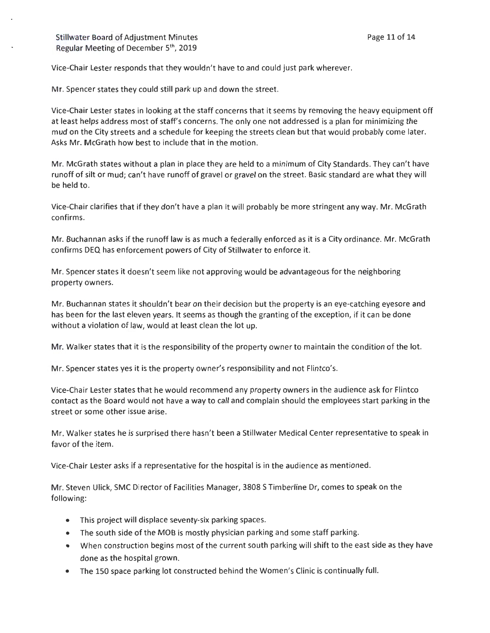Vice-Chair Lester responds that they wouldn't have to and could just park wherever.

Mr. Spencer states they could still park up and down the street.

Vice-Chair Lester states in looking at the staff concerns that it seems by removing the heavy equipment off at least helps address most of staff's concerns. The only one not addressed is a plan for minimizing the mud on the City streets and a schedule for keeping the streets clean but that would probably come later. Asks Mr. McGrath how best to include that in the motion.

Mr. McGrath states without a plan in place they are held to a minimum of City Standards. They can't have runoff of silt or mud; can't have runoff of gravel or gravel on the street. Basic standard are what they will be held to.

Vice-Chair clarifies that if they don't have a plan it will probably be more stringent any way. Mr. McGrath confirms.

Mr. Buchannan asks if the runoff law is as much a federally enforced as it is a City ordinance. Mr. McGrath confirms DEQ has enforcement powers of City of Stillwater to enforce it.

Mr. Spencer states it doesn't seem like not approving would be advantageous for the neighboring property owners.

Mr. Buchannan states it shouldn't bear on their decision but the property is an eye-catching eyesore and has been for the last eleven years. It seems as though the granting of the exception, if it can be done without a violation of law, would at least clean the lot up.

Mr. Walker states that it is the responsibility of the property owner to maintain the condition of the lot.

Mr. Spencer states yes it is the property owner's responsibility and not Flintco's.

Vice-Chair Lester states that he would recommend any property owners in the audience ask for Flintco contact as the Board would not have a way to call and complain should the employees start parking in the street or some other issue arise.

Mr. Walker states he is surprised there hasn't been a Stillwater Medical Center representative to speak in favor of the item.

Vice-Chair Lester asks if a representative for the hospital is in the audience as mentioned.

Mr. Steven Ulick, SMC Director of Facilities Manager, 3808 S Timberline Dr, comes to speak on the following:

- This project will displace seventy-six parking spaces.
- The south side of the MOB is mostly physician parking and some staff parking.
- When construction begins most of the current south parking will shift to the east side as they have done as the hospital grown.
- The 150 space parking lot constructed behind the Women's Clinic is continually full.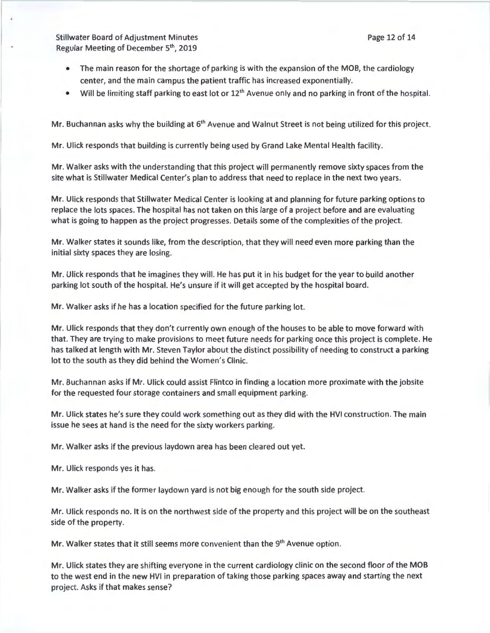- The main reason for the shortage of parking is with the expansion of the MOB, the cardiology center, and the main campus the patient traffic has increased exponentially.
- Will be limiting staff parking to east lot or 12<sup>th</sup> Avenue only and no parking in front of the hospital.

Mr. Buchannan asks why the building at 6<sup>th</sup> Avenue and Walnut Street is not being utilized for this project.

Mr. Ulick responds that building is currently being used by Grand Lake Mental Health facility.

Mr. Walker asks with the understanding that this project will permanently remove sixty spaces from the site what is Stillwater Medical Center's plan to address that need to replace in the next two years.

Mr. Ulick responds that Stillwater Medical Center is looking at and planning for future parking options to replace the lots spaces. The hospital has not taken on this large of a project before and are evaluating what is going to happen as the project progresses. Details some of the complexities of the project.

Mr. Walker states it sounds like, from the description, that they will need even more parking than the initial sixty spaces they are losing.

Mr. Ulick responds that he imagines they will. He has put it in his budget for the year to build another parking lot south of the hospital. He's unsure if it will get accepted by the hospital board.

Mr. Walker asks if he has a location specified for the future parking lot.

Mr. Ulick responds that they don't currently own enough of the houses to be able to move forward with that. They are trying to make provisions to meet future needs for parking once this project is complete. He has talked at length with Mr. Steven Taylor about the distinct possibility of needing to construct a parking lot to the south as they did behind the Women's Clinic.

Mr. Buchannan asks if Mr. Ulick could assist Flintco in finding a location more proximate with the jobsite for the requested four storage containers and small equipment parking.

Mr. Ulick states he's sure they could work something out as they did with the HVI construction. The main issue he sees at hand is the need for the sixty workers parking.

Mr. Walker asks if the previous laydown area has been cleared out yet.

Mr. Ulick responds yes it has.

Mr. Walker asks if the former laydown yard is not big enough for the south side project.

Mr. Ulick responds no. It is on the northwest side of the property and this project will be on the southeast side of the property.

Mr. Walker states that it still seems more convenient than the 9<sup>th</sup> Avenue option.

Mr. Ulick states they are shifting everyone in the current cardiology clinic on the second floor of the MOB to the west end in the new HVI in preparation of taking those parking spaces away and starting the next project. Asks if that makes sense?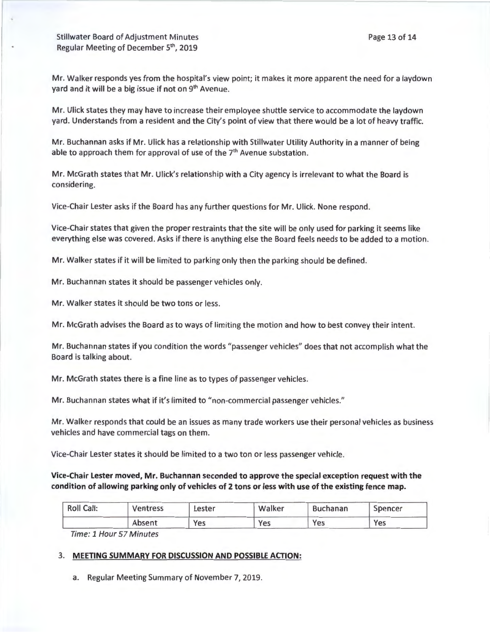Mr. Ulick states they may have to increase their employee shuttle service to accommodate the laydown yard. Understands from a resident and the City's point of view that there would be a lot of heavy traffic.

Mr. Buchannan asks if Mr. Ulick has a relationship with Stillwater Utility Authority in a manner of being able to approach them for approval of use of the  $7<sup>th</sup>$  Avenue substation.

Mr. McGrath states that Mr. Ulick's relationship with a City agency is irrelevant to what the Board is considering.

Vice-Chair Lester asks if the Board has any further questions for Mr. Ulick. None respond .

Vice-Chair states that given the proper restraints that the site will be only used for parking it seems like everything else was covered. Asks if there is anything else the Board feels needs to be added to a motion.

Mr. Walker states if it will be limited to parking only then the parking should be defined.

Mr. Buchannan states it should be passenger vehicles only.

Mr. Walker states it should be two tons or less.

Mr. McGrath advises the Board as to ways of limiting the motion and how to best convey their intent.

Mr. Buchannan states if you condition the words "passenger vehicles" does that not accomplish what the Board is talking about.

Mr. McGrath states there is a fine line as to types of passenger vehicles.

Mr. Buchannan states what if it's limited to "non-commercial passenger vehicles."

Mr. Walker responds that could be an issues as many trade workers use their personal vehicles as business vehicles and have commercial tags on them.

Vice-Chair Lester states it should be limited to a two ton or less passenger vehicle.

# **Vice-Chair Lester moved, Mr. Buchannan seconded to approve the special exception request with the condition of allowing parking only of vehicles of 2 tons or less with use of the existing fence map.**

| <b>Roll Call:</b> | Ventress | Lester | Walker | <b>Buchanan</b> | Spencer |  |
|-------------------|----------|--------|--------|-----------------|---------|--|
|                   | Absent   | Yes    | Yes    | Yes             | Yes     |  |

Time: 1 Hour 57 Minutes

#### 3. **MEETING SUMMARY FOR DISCUSSION AND POSSIBLE ACTION:**

a. Regular Meeting Summary of November 7, 2019.